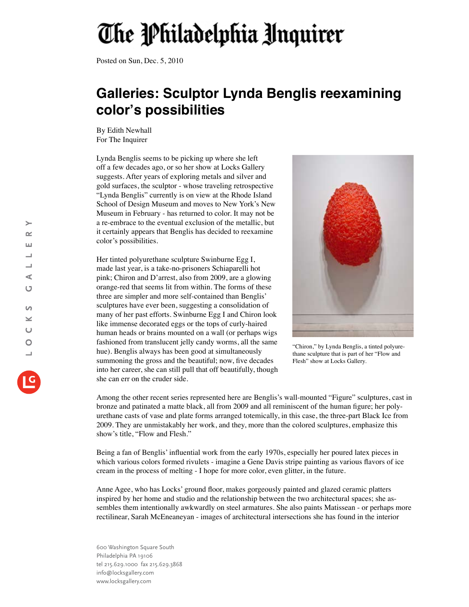## The Philadelphia Unquirer

Posted on Sun, Dec. 5, 2010

## **Galleries: Sculptor Lynda Benglis reexamining color's possibilities**

By Edith Newhall For The Inquirer

Lynda Benglis seems to be picking up where she left off a few decades ago, or so her show at Locks Gallery suggests. After years of exploring metals and silver and gold surfaces, the sculptor - whose traveling retrospective "Lynda Benglis" currently is on view at the Rhode Island School of Design Museum and moves to New York's New Museum in February - has returned to color. It may not be a re-embrace to the eventual exclusion of the metallic, but it certainly appears that Benglis has decided to reexamine color's possibilities.

Her tinted polyurethane sculpture Swinburne Egg I, made last year, is a take-no-prisoners Schiaparelli hot pink; Chiron and D'arrest, also from 2009, are a glowing orange-red that seems lit from within. The forms of these three are simpler and more self-contained than Benglis' sculptures have ever been, suggesting a consolidation of many of her past efforts. Swinburne Egg I and Chiron look like immense decorated eggs or the tops of curly-haired human heads or brains mounted on a wall (or perhaps wigs fashioned from translucent jelly candy worms, all the same hue). Benglis always has been good at simultaneously summoning the gross and the beautiful; now, five decades into her career, she can still pull that off beautifully, though she can err on the cruder side.



"Chiron," by Lynda Benglis, a tinted polyurethane sculpture that is part of her "Flow and Flesh" show at Locks Gallery.

Among the other recent series represented here are Benglis's wall-mounted "Figure" sculptures, cast in bronze and patinated a matte black, all from 2009 and all reminiscent of the human figure; her polyurethane casts of vase and plate forms arranged totemically, in this case, the three-part Black Ice from 2009. They are unmistakably her work, and they, more than the colored sculptures, emphasize this show's title, "Flow and Flesh."

Being a fan of Benglis' influential work from the early 1970s, especially her poured latex pieces in which various colors formed rivulets - imagine a Gene Davis stripe painting as various flavors of ice cream in the process of melting - I hope for more color, even glitter, in the future.

Anne Agee, who has Locks' ground floor, makes gorgeously painted and glazed ceramic platters inspired by her home and studio and the relationship between the two architectural spaces; she assembles them intentionally awkwardly on steel armatures. She also paints Matissean - or perhaps more rectilinear, Sarah McEneaneyan - images of architectural intersections she has found in the interior

600 Washington Square South Philadelphia PA 19106 tel 215.629.1000 fax 215.629.3868 info@locksgallery.com www.locksgallery.com

 $\succ$